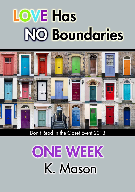# **LOVE Has NO Boundaries**



Don't Read in the Closet Event 2013

## **ONE WEEK** K. Mason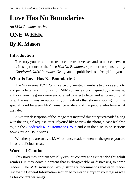## **Love Has No Boundaries**

*An M/M Romance series*

## **ONE WEEK**

#### **By K. Mason**

#### **Introduction**

The story you are about to read celebrates love, sex and romance between men. It is a product of the *Love Has No Boundaries* promotion sponsored by the *Goodreads M/M Romance Group* and is published as a free gift to you.

#### **What Is Love Has No Boundaries?**

The *Goodreads M/M Romance Group* invited members to choose a photo and pen a letter asking for a short M/M romance story inspired by the image; authors from the group were encouraged to select a letter and write an original tale. The result was an outpouring of creativity that shone a spotlight on the special bond between M/M romance writers and the people who love what they do.

A written description of the image that inspired this story is provided along with the original request letter. If you'd like to view the photo, please feel free to join the [Goodreads M/M Romance Group](http://www.goodreads.com/group/show/20149-m-m-romance) and visit the discussion section: *Love Has No Boundaries*.

Whether you are an avid M/M romance reader or new to the genre, you are in for a delicious treat.

#### **Words of Caution**

This story may contain sexually explicit content and is **intended for adult readers.** It may contain content that is disagreeable or distressing to some readers. The *M/M Romance Group* strongly recommends that each reader review the General Information section before each story for story tags as well as for content warnings.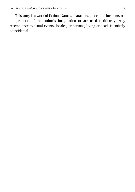This story is a work of fiction. Names, characters, places and incidents are the products of the author's imagination or are used fictitiously. Any resemblance to actual events, locales, or persons, living or dead, is entirely coincidental.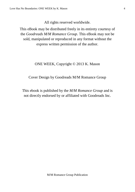All rights reserved worldwide.

This eBook may be distributed freely in its entirety courtesy of the *Goodreads M/M Romance Group*. This eBook may not be sold, manipulated or reproduced in any format without the express written permission of the author.

#### ONE WEEK, Copyright © 2013 K. Mason

Cover Design by Goodreads M/M Romance Group

This ebook is published by the *M/M Romance Group* and is not directly endorsed by or affiliated with Goodreads Inc.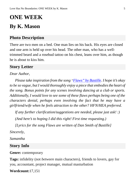## **ONE WEEK By K. Mason**

#### **Photo Description**

There are two men on a bed. One man lies on his back. His eyes are closed and one arm is held up over his head. The other man, who has a welltrimmed beard and a rosebud tattoo on his chest, leans over him, as though he is about to kiss him.

#### **Story Letter**

#### *Dear Author*,

*Please take inspiration from the song ["Flaws" by Bastille.](http://www.youtube.com/watch?v=1E36WU9Wzf4) I hope it's okay to be so vague, but I would thoroughly enjoy a piece that embodies the heart of the song. Bonus points for any scenes involving dancing at a club or sports. Additionally, I would love to see some of these flaws perhaps being one of the characters denial, perhaps even involving the fact that he may have a girlfriend/wife when he feels attraction to the other? HFN/HEA preferred.*

*If any further clarification/suggestions are needed, please just ask! :)*

*(And here's to hoping I did this right! First time requesting.)*

*[Lyrics for the song Flaws are written of Dan Smith of Bastille]*

*Sincerely,*

*Samantha*

#### **Story Info**

**Genre:** contemporary

**Tags:** infidelity (not *between* main characters), friends to lovers, gay for you, accountant, project manager, mutual masturbation

#### **Wordcount:**17,151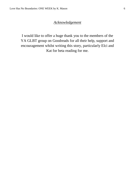#### *Acknowledgement*

I would like to offer a huge thank you to the members of the YA GLBT group on Goodreads for all their help, support and encouragement whilst writing this story, particularly Elci and Kat for beta reading for me.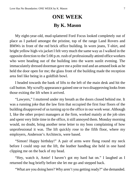### **ONE WEEK By K. Mason**

My eight-year-old, mud-splattered Ford Focus looked completely out of place as I parked amongst the pristine, top of the range Land Rovers and BMWs in front of the red brick office building. In worn jeans, T-shirt, and bright yellow high-vis jacket I felt very much the same way as I walked in the opposite direction to the 5:00 p.m. rush of professionally attired office workers who were heading out of the building into the warm sunlit evening. The immaculately dressed doorman gave me a polite nod and an amused look as he held the door open for me; the glass front of the building made the reception area feel like being in a goldfish bowl.

I headed towards the bank of lifts to the left of the main desk and hit the call button. My scruffy appearance gained one or two disapproving looks from those exiting the lift when it arrived.

"Lawyers," I muttered under my breath as the doors closed behind me. It was a running joke that the law firm that occupied the first four floors of the building disapproved of us turning up to the office in our work wear. Although I, like the other project managers at the firm, worked mainly at the job sites and spent very little time in the office, it still annoyed them. Monday morning would, no doubt, bring another terse letter to my boss complaining of how unprofessional it was. The lift quickly rose to the fifth floor, where my employers, Anderson's Architects, were based.

"Simon! Happy birthday!" A pair of arms were flung round my neck before I could step out the lift, the leather handbag she held in one hand clipping me on the back of my head.

"Hey, watch it, Amie! I haven't got my hard hat on." I laughed as I returned the hug briefly before she let me go and stepped back.

"What are you doing here? Why aren't you getting ready?" she demanded.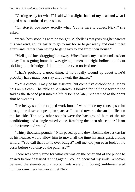"Getting ready for what?" I said with a slight shake of my head and what I hoped was a confused expression.

"Oh stop it, you know exactly what. You're here to collect Nick?" she asked.

"Yeah, he's stopping at mine tonight. Michelle is away visiting her parents this weekend, so it's easier to go to my house to get ready and crash there afterwards rather than having to get a taxi to and from their house."

"Well good luck dragging him away. When I stuck my head round his door to say I was going home he was giving someone a right bollocking about sticking to their budget. I don't think he even noticed me."

"That's probably a good thing. If he's really wound up about it he'd probably have made you stay and rework the figures."

"Not a chance. I may be his assistant, but come five o'clock on a Friday he's on his own. The table at Salvatore's is booked for half past seven," she said as she stepped past into the lift. "Don't be late," she warned as the doors shut between us.

The heavy steel toe-capped work boots I wore made my footsteps echo through the deserted open plan space as I headed towards the small office on the far side. The only other sounds were the background hum of the air conditioning and a single raised voice. Reaching the open office door I leant on the frame and waited.

"Thirty thousand pounds!" Nick paced up and down behind the desk as far as his headset would allow him to move, all the time his arms gesticulating wildly. "You call that a little over budget? Tell me, did you even look at the costs before you okayed the purchase?"

There was barely time for whoever was on the other end of the phone to answer before he started ranting again. I couldn't conceal my smile. Whoever believed the stereotype that accountants were dull, boring, mild-mannered number crunchers had never met Nick.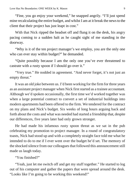"Fine, you go enjoy your weekend," he snapped angrily. "I'll just spend mine recalculating the entire budget, and whilst I am at it break the news to the client that their project has just leapt in cost."

With that Nick ripped the headset off and flung it on the desk, his angry pacing coming to a sudden halt as he caught sight of me standing in the doorway.

"Why is it of the ten project manager's we employ, you are the only one who can ever stay within budget?" he demanded.

"Quite possibly because I am the only one you've ever threatened to castrate with a rusty spoon if I should go over it."

"Very true." He nodded in agreement. "And never forget, it's not just an empty threat."

It was an old joke between us. I'd been working for the firm for three years as an assistant project manager when Nick first started as a trainee accountant. Although we'd spoken occasionally, the first time we'd worked together was when a large potential contract to convert a set of industrial buildings into modern apartments had been offered to the firm. We tendered for the contract on my plans and Nick's budget. Six weeks of long hours arguing back and forth about the costs and what was needed had started a friendship that, despite our differences, five years later had only grown stronger.

He had made his infamous rusty spoon threat as we sat in the pub celebrating my promotion to project manager. In a round of congratulatory toasts, Nick had stood up and with a completely straight face told me what he intended to do to me if I ever went over the budget he'd set. The memory of the shocked silence from our colleagues that followed this announcement still made us laugh today.

"You finished?"

"Yeah, just let me switch off and get my stuff together." He started to log out of his computer and gather the papers that were spread around the desk. "Looks like I'm going to be working this weekend!"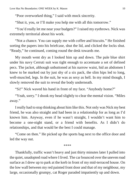"Poor overworked thing," I said with mock sincerity.

"Shut it, you, or I'll make you help me with all this tomorrow."

"You'd really let me near your budgets?" I raised my eyebrows. Nick was extremely territorial about his work.

"Not a chance. You can supply me with coffee and biscuits." He finished sorting the papers into his briefcase, shut the lid, and clicked the locks shut. "Ready," he continued, coming round the desk towards me.

My mouth went dry as I looked him up and down. The pale blue shirt under his navy Cerruti suit was tight enough to accentuate a set of defined pecs. The jacket, although unbuttoned at his narrow waist, hid an abdomen I knew to be marked out by just shy of a six pack, the slim hips led to long, well-muscled, legs. In the suit, he was as sexy as hell. In my mind though, I slowly removed the suit to reveal the body underneath.

"Si!" Nick waved his hand in front of my face. "Anybody home?"

"Yeah, sorry." I shook my head slightly to clear the mental vision. "Miles" away."

I really had to stop thinking about him like this. Not only was Nick my best friend, he was also straight and had been in a relationship for as long as I'd known him. Anyway, even if he wasn't straight, I wouldn't want him to become a one-night stand, or a friend with benefits. As I didn't do relationships, and that would be the best I could manage.

"Come on then." He picked up the sports bag next to the office door and led the way out.

\*\*\*\*

Thankfully, traffic wasn't heavy and just thirty minutes later I pulled into the quiet, unadopted road where I lived. The car bounced over the uneven road surface as I drew up to park at the kerb in front of my mid-terraced house. On the low wall between my red painted front door and that of my neighbour, my large, occasionally grumpy, cat Roger paraded impatiently up and down.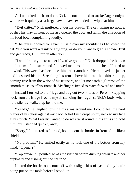As I unlocked the front door, Nick put out his hand to stroke Roger, only to withdraw it quickly as a large paw—claws extended—swiped at him.

"Evil critter," Nick muttered under his breath. The cat, taking no notice, pushed his way in front of me as I opened the door and ran in the direction of his food bowl complaining loudly.

"The taxi is booked for seven," I said over my shoulder as I followed the cat. "Do you want a drink or anything, or do you want to grab a shower first and get ready, I'll jump in after you."

"I wouldn't say no to a beer if you've got one." Nick dropped the bag on the bottom of the stairs and followed me through to the kitchen. "I need to unwind. This week has been one thing after another." He removed his jacket and loosened his tie. Stretching his arms above his head, his shirt rode up, coming free from the waist of his trousers, and let me catch a glimpse of the smooth muscles of his stomach. My fingers itched to reach forward and touch.

Instead I turned to the fridge and dug out two bottles of Peroni. Stepping back from the fridge I found myself standing flush against Nick's body, where he'd silently walked up behind me.

"Steady," he laughed, putting his arms around me. I could feel the hard planes of his chest against my back. A hot flush crept up my neck to my face at his touch. What I really wanted to do was twist round in his arms and hold him, but I stepped quickly away.

"Sorry," I muttered as I turned, holding out the bottles in front of me like a shield.

"No problem." He smiled easily as he took one of the bottles from my hand. "Opener?"

"Top drawer." I pointed across the kitchen before ducking down to another cupboard and fishing out the cat food.

I heard the bottle tops come off with a slight hiss of gas and my bottle being put on the table before I stood up.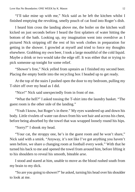"I'll take mine up with me," Nick said as he left the kitchen whilst I finished emptying the revolting, smelly pouch of cat food into Roger's dish.

I heard him cross the landing above me, the boiler on the kitchen wall kicked on just seconds before I heard the first splatters of water hitting the bottom of the bath. Looking up, my imagination went into overdrive as I pictured Nick stripping off the rest of his work clothes in preparation for getting in the shower. I growled at myself and tried to force my thoughts elsewhere. Grabbing my own beer, I took a large mouthful of the cold liquid. Maybe a drink or two would take the edge off. It was either that or trying to pick someone up tonight for some relief.

"Shower's free," Nick yelled from upstairs as I finished my second beer. Placing the empty bottle into the recycling box I headed up to get ready.

At the top of the stairs I pushed open the door to my bedroom, pulling my T-shirt off over my head as I did.

"Nice!" Nick said unexpectedly from in front of me.

"What the hell?" I asked tossing the T-shirt into the laundry basket. "The guest room is the other side of the landing."

"Yeah I know, but Roger's in there." My eyes wandered up and down his body. Little rivulets of water ran down from his wet hair and across his chest, before being absorbed by the towel that was wrapped loosely round his hips.

"Sorry?" I shook my head.

"Your cat, the stroppy one, he's in the guest room and he won't share," Nick said with a smirk. "Anyway, it's not like I've got anything you haven't seen before, we share a changing room at football every week." With that he turned his back to me and opened the towel from around him, before lifting it to his shoulders to reveal his smooth, biteable arse.

I stood and stared at him, unable to move as the blood rushed south from my brain to my dick.

"So are you going to shower?" he asked, turning his head over his shoulder to look at me.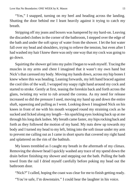"Yes," I snapped, turning on my heel and heading across the landing. Shutting the door behind me I leant heavily against it trying to catch my breath.

Stripping off my jeans and boxers was hampered by my hard-on. Leaving the discarded clothes in the corner of the bathroom, I stepped over the edge of the bath and under the soft spray of water from the shower. I let the hot water fall over my head and shoulders, trying to relieve the tension, but even after I had washed my hair I knew there was only one way that my cock was going to go down.

Squirting the shower gel into my palm I began to wash myself. Tracing the muscles in my arms and chest I imagined that it wasn't my own hand but Nick's that caressed my body. Moving my hands down, across my hip bones I knew where this was heading. Leaning forwards, my left hand braced against the cool tiles of the wall, I wrapped my soapy right hand around my cock and started to stroke. Gently at first, teasing the foreskin back and forth across the glans, twisting my wrist to rub around the corona. As my need for release increased so did the pressure I used, moving my hand up and down the entire shaft, squeezing and pulling as I went. Looking down I imagined Nick on his knees in front of me with his mouth wrapped round my straining cock as he sucked and licked along my length—his sparkling eyes looking back up at me through his long dark lashes. My breath came faster, my hips rocking back and forth as they followed the motion of my hand. My nuts drew up towards my body and I turned my head to my left, biting into the soft tissue under my arm to prevent me calling out as I came in short spurts that covered my right hand and splattered on the rim of the bathtub.

My knees trembled as I caught my breath in the aftermath of my climax. Removing the shower head I quickly washed any trace of my spend down the drain before finishing my shower and stepping out the bath. Pulling the bath towel from the rail I dried myself carefully before poking my head out the bathroom door.

"Nick?" I called, hoping the coast was clear for me to finish getting ready.

"You're safe, I'm downstairs." I could hear the laughter in his voice.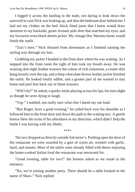I legged it across the landing in the nude, not daring to look down the stairwell in case Nick was looking up, and shut the bedroom door behind me. I laid out my clothes on the bed: black fitted jeans that I knew would draw attention to my backside, green Armani polo shirt that matched my eyes, and my favourite worn black denim jacket. My vintage Doc Martens boots would finish the outfit.

"Taxi's here," Nick shouted from downstairs as I finished running the styling wax through my hair.

Grabbing my jacket I headed to the front door where he was waiting. As I stepped into the front room the sight of him took my breath away. He was wearing skin-tight leather trousers the colour of rich cinnamon, a cream shirt hung loosely over the top, and a deep-chocolate-brown leather jacket finished the outfit. He looked totally edible, and a greater part of me wanted to stay home and peel him back out of those trousers.

"Will I do?" he asked, a quirky smile playing across his lips, his eyes alight as though he were dying to laugh.

"Yep." I nodded, not really sure what else I dared say out loud.

"Bye Roger, have a good evening," he called back over his shoulder as I followed him to the front door and down the path to the waiting taxi. A gentle breeze blew the scent of his aftershave in my direction, which didn't help the battle I was having with my libido.

\*\*\*\*

The taxi dropped us directly outside Salvatore's. Pushing open the door of the restaurant we were assailed by a gust of warm air, scented with garlic, basil, and tomato. Most of the tables were already filled with diners enjoying the home-cooked Italian food the restaurant was renowned for.

"Good evening, table for two?" the hostess asked as we stood in the entrance.

"No, we're joining another party. There should be a table booked in the name of Shaw," Nick replied.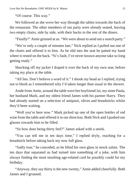"Of course. This way."

We followed as she wove her way through the tables towards the back of the restaurant. The other members of our party were already seated, leaving two empty chairs, side by side, with their backs to the rest of the diners.

"Finally!" Amie grinned at us. "We were about to send out a search party."

"We're only a couple of minutes late," Nick replied as I pulled out one of the chairs and offered it to him. As he slid into the seat he patted my hand where it rested on the back. "Si's fault, I've never known anyone take so long getting ready."

Shucking off my jacket I draped it over the back of my own seat, before taking my place at the table.

"All lies. Don't believe a word of it." I shook my head as I replied, trying not to blush as I remembered why I'd taken longer than usual in the shower.

Aside from Amie, around the table were her boyfriend Jai, my sister Paula, her husband Mark, and my oldest friend James with his partner Harry. They had already started on a selection of antipasti, olives and breadsticks whilst they'd been waiting.

"Well you're here now." Mark picked up one of the open bottles of red wine from the table and offered it in our direction. Both Nick and I pushed our glasses towards him to be filled.

"So how does being thirty feel?" James asked with a smirk.

"You can tell me in ten days time," I replied dryly, reaching for a breadstick before taking back my now full glass.

"Sadly true," he conceded, as he lifted his own glass in mock salute. The ten days that separated us had turned into something of a joke, with him always finding the most insulting age-related card he possibly could for my birthday.

"Anyway, they say thirty is the new twenty," Amie added cheerfully. Both James and I groaned.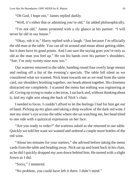"Oh God, I hope not," James replied darkly.

"Well, it's either that or admitting you're old," Jai added philosophically.

"I'm not old," James protested with a sly glance at his partner. "I will never be old in our house."

"Okay, rub it in," Harry replied with a laugh. "Just because I'm officially the old man at the table. You can all sit around and moan about getting older, but it does have its good points. And I am sure the saying goes you're only as old as the man you feel up." He ran his hands over his partner's shoulders. "See, I'm only twenty-nine now too."

Our waitress returned to the table, handing round four overly large menus and reeling off a list of the evening's specials. The table fell silent as we considered what we wanted. Nick leant towards me as we read from the same card, our shoulders brushing together, our heads almost together. His closeness distracted me completely. I scanned the menu but nothing was registering at all. Giving up trying to make a decision, I sat back and, without thinking about it, laid my right arm along the back of Nick's chair.

I needed to focus. I couldn't afford to let the feelings I had for him get out of hand. Picking up my glass and taking a deep swallow of the dark red wine, I met my sister's eye across the table where she sat watching me, her head tilted to one side with a quizzical expression on her face.

"Are you ready to order?" the waitress asked as she returned to our table. Quickly we told her want we wanted and ordered a couple more bottles of the red wine.

"About ten minutes for your starters," she advised before taking the menu cards from the table and heading away. Nick sat up and leant back in his chair, as he did I quickly dropped my arm down behind him. He turned with a slight frown as I did.

"Sorry," I muttered.

"No problem, you could have left it there. I didn't mind."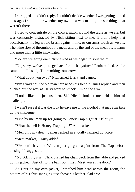I shrugged but didn't reply. I couldn't decide whether I was getting mixed messages from him or whether my own lust was making me see things that weren't there.

I tried to concentrate on the conversation around the table as we ate, but was constantly distracted by Nick sitting next to me. It didn't help that occasionally his leg would brush against mine, or our arms touch as we ate. The wine flowed throughout the meal, and by the end of the meal I felt warm and more than a little intoxicated.

"So, are we going on?" Nick asked as we began to split the bill.

"No, sorry, we've got to get back for the babysitter," Paula replied. At the same time Jai said, "I'm working tomorrow."

"What about you two?" Nick asked Harry and James.

"I'm afraid not; the old man here needs his sleep," James replied and then ducked out the way as Harry went to smack him on the arm.

"Looks like it's just us then, Si." Nick's look at me held a hint of challenge.

I wasn't sure if it was the look he gave me or the alcohol that made me take up the challenge.

"Fine by me. You up for going to Honey Trap night at Affinity?"

"What the hell is Honey Trap night?" Amie asked.

"Men only my dear," James replied in a totally camped up voice.

"Meat market," Harry added.

"We don't have to. We can just go grab a pint from The Tap before closing," I suggested.

"No, Affinity it is." Nick pushed his chair back from the table and picked up his jacket. "Just off to the bathroom first. Meet you at the door."

As I put on my own jacket, I watched him head across the room, the bottom of his shirt swinging just above his leather-clad arse.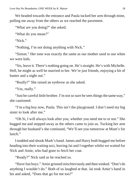We headed towards the entrance and Paula tucked her arm through mine, pulling me away from the others as we reached the pavement.

"What are you doing?" she asked.

"What do you mean?"

"Nick."

"Nothing, I'm not doing anything with Nick."

"Simon." Her tone was exactly the same as our mother used to use when we were kids.

"Sis, leave it. There's nothing going on. He's straight. He's with Michelle. Hell, he might as well be married to her. We're just friends, enjoying a bit of banter and a night out."

"Really?" She raised an eyebrow as she asked.

"Yes, really."

"Just be careful little brother. I'm not so sure he sees things the same way," she cautioned.

"I'm a big boy now, Paula. This isn't the playground. I don't need my big sister to look after me."

"Oh Si, I will always look after you, whether you need me to or not." She hugged me and stepped away as the others came to join us. Tucking her arm through her husband's she continued, "We'll see you tomorrow at Mum's for lunch"

I nodded and shook Mark's hand. James and Harry both hugged me before heading into their waiting taxi, leaving Jai and I together whilst we waited for Nick and Amie, who had gone to fetch her coat.

"Ready?" Nick said as he reached us.

"Have fun boys." Amie grinned mischievously and then winked. "Don't do anything I wouldn't do." Both of us laughed at that. Jai took Amie's hand in his and asked, "Does that go for me too?"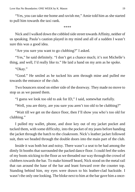"Yes, you can take me home and ravish me," Amie told him as she started to pull him towards the taxi rank.

\*\*\*\*

Nick and I walked down the cobbled side street towards Affinity, neither of us speaking. Paula's caution played in my mind and all of a sudden I wasn't sure this was a good idea.

"Are you sure you want to go clubbing?" I asked.

"Yes," he said definitely. "I don't get a chance much; it's not Michelle's thing, and well, I'd really like to." He laid a hand on my arm as he spoke.

"Okay."

"Good." He smiled as he tucked his arm through mine and pulled me towards the entrance of the club.

Two bouncers stood on either side of the doorway. They made no move to stop us as we passed them.

"I guess we look too old to ask for ID," I said, somewhat ruefully.

"Well, you are thirty, are you sure you aren't too old to be clubbing?"

"Wait till we get on the dance floor, then I'll show you who's too old for clubbing."

I pulled my wallet, phone, and door key out of my jacket pocket and tucked them, with some difficulty, into the pocket of my jeans before handing the jacket through the hatch to the cloakroom. Nick's leather jacket followed suit, then we headed through the double doors into the main part of the club.

Inside it was both hot and noisy. There wasn't a seat to be had among the dimly lit booths that surrounded the packed dance floor. I could feel the soles of my boots sticking to the floor as we threaded our way through the crowd of clubbers towards the bar. To make himself heard, Nick stood on the metal rail that ran around the base of the bar and leant forward over the counter top. Standing behind him, my eyes were drawn to his leather-clad backside. I wasn't the only one looking. The bloke next to him at the bar gave him a once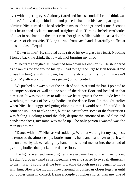over with lingering eyes. Jealousy flared and for a second all I could think was "mine." I moved up behind him and placed a hand on his back, glaring at his admirer. Nick turned his head briefly at my touch and grinned at me. Seconds later he stepped back into me and straightened up. Turning, he held two bottles of lager in one hand, in the other two shot glasses filled with at least a double measure of clear spirits. Taking a drink from each hand, I carefully sniffed at the shot glass. Tequila.

"Down in one?" He shouted as he raised his own glass in a toast. Nodding I tossed back the drink, the raw alcohol burning my throat.

"Cheers," I coughed as I watched him down his own drink. He shuddered as he ran his tongue around his lips. I had to fight the urge to lean forward and chase his tongue with my own, tasting the alcohol on his lips. This wasn't good. My attraction to him was getting out of control.

We pushed our way out of the crush of bodies around the bar. I pointed to an empty section of wall to one side of the dance floor and headed in that direction. It was too noisy to talk, so we leant against the wall side by side watching the mass of heaving bodies on the dance floor. I'd thought earlier when Nick had suggested going clubbing that I would see if I could pick someone up—not to take home, but to at least relieve some of the frustration I was feeling. Looking round the club, despite the amount of naked flesh and handsome faces, my mind was made up. The only person I wanted was the man next to me.

"Dance with me?" Nick asked suddenly. Without waiting for my response, he removed the almost empty bottle from my hand and leant over to put it with his on a nearby table. Taking my hand in his he led me out into the crowd of gyrating bodies that packed the dance floor.

The lights overhead were brighter, the electronic beat of the music louder. He didn't drop my hand as he closed his eyes and started to sway rhythmically to the music. I could feel the beat vibrating through me as I began to move with him. Slowly the moving crowd around us pushed us closer together until our bodies came in contact. Being a couple of inches shorter than me, one of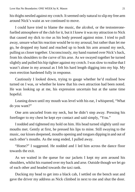his thighs nestled against my crotch. It seemed only natural to slip my free arm around Nick's waist as we continued to move.

I could have tried to blame the music, the alcohol, or the testosteronefuelled atmosphere of the club for it, but it I knew it was my attraction to Nick that caused my dick to rise as his body pressed against mine. I tried to pull away, unsure what his reaction would be to my arousal, but rather than let me go, he dropped my hand and reached up to hook his arm around my neck, pulling us closer together. Unconsciously, my hand roamed over Nick's back, from his shoulders to the curve of his arse. As we swayed together he turned slightly and pulled his hip tighter against my crotch. I was slow to realise that I wasn't alone in my arousal as I felt his hard length digging into my hip. My own erection hardened fully in response.

Cautiously I looked down, trying to gauge whether he'd realised how turned on I was, or whether he knew that his own attraction had been noted. He was looking up at me, his expression uncertain but at the same time hopeful.

Leaning down until my mouth was level with his ear, I whispered, "What do you want?"

One arm uncurled from my neck, but he didn't step away. Pressing his forefinger to my chest he kept eye contact and said simply, "You."

I nodded and tightened my hold on him. His head turned slightly until our mouths met. Gently at first, he pressed his lips to mine. Still swaying to the music, our kisses deepened, mouths opening and tongues dipping in and out of each other's mouths. As the song ended, I pulled away.

"Home?" I suggested. He nodded and I led him across the dance floor towards the exit.

As we waited in the queue for our jackets I kept my arm around his shoulders, whilst his roamed over my back and arse. Outside though we let go of each other and headed towards the taxi rank.

Ducking my head to get into a black cab, I settled on the bench seat and gave the driver my address as Nick climbed in next to me and shut the door.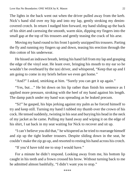The lights in the back went out when the driver pulled away from the kerb. Nick's hand slid over my hip and into my lap, gently stroking my denimcovered crotch. In return I nudged him forward, my hand sliding up the back of his shirt and caressing the smooth, warm skin, dipping my fingers into the small gap at the top of his trousers and gently teasing the crack of his arse.

Moving my hand round to his front I quietly unzipped his trousers. Parting the fly and running my fingers up and down, teasing his erection through the thin cotton of his underwear.

He hissed an indrawn breath, letting his hand fall from my lap and grasping the edge of the vinyl seat. He leant over, bringing his mouth to my ear so he wouldn't be overheard by the taxi driver, and whispered, "Keep that up and I am going to come in my briefs before we even get home."

"And?" I asked, smirking at him. "Surely you can get it up again."

"Yes, but..." He bit down on his lip rather than finish his sentence as I applied more pressure, stroking with the heel of my hand against his length. The damp patch under my hand was spreading as he leaked precum.

"Si!" he gasped, his hips jerking against my palm as he forced himself to try and keep still. Turning my hand I rubbed my thumb over the crown of his cock. He tensed suddenly, twisting in his seat and burying his head in the neck of my jacket as he came. Pulling my hand away and wiping it on the edge of his shirt, I sat back in my seat waiting for Nick to recover and sit up.

"I can't believe you did that," he whispered as he tried to rearrange himself and zip up the tight leather trousers. Despite sliding down in the seat, he couldn't make the zip go up, and resorted to resting his hand across his crotch.

"If you'd have told me to stop I would have."

For a minute he didn't respond. Looking away from me, his bottom lip caught in his teeth and a frown crossed his brow. Without turning back to me he admitted almost bashfully, "I didn't want you to stop."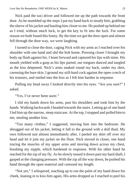Nick paid the taxi driver and followed me up the path towards the front door. As he stumbled up the steps I put my hand back to steady him, grabbing the sleeve of his jacket and hauling him closer to me. He pushed up behind me as I tried, without much luck, to get the key to fit into the lock. For some reason we both found this funny. By the time we got the door open and almost fell through the door way, we were laughing.

I turned to close the door, caging Nick with my arms as I reached over his shoulder with one hand and slid the bolt home. Pressing closer I brought my body up flush against his. I leant forward and captured his lips with mine. His mouth yielded with a gasp as his lips parted, our tongues danced and tangled as the kiss deepened. Nick's arms snaked round my back, under my shirt, caressing the bare skin. I ground my still-hard cock against the open crotch of his trousers, and smiled into the kiss as I felt him harden in response.

Pulling my head away I looked directly into his eyes. "Are you sure?" I asked.

"Yes, I've never been surer."

I slid my hands down his arms, past his shoulders and took him by the hands. Walking backwards I headed towards the stairs. Letting go of one hand I led him up the narrow, steep staircase. At the top, I stopped and pulled him to me, stealing another kiss.

"Too many clothes," I suggested, moving him into the bedroom. He shrugged out of his jacket, letting it fall to the ground with a dull thud. My own followed suit almost immediately after. I peeled my shirt off over my head and let it join my jacket on the floor. Nick moved in closer, one hand tracing the muscles of my upper arms and moving down across my chest, brushing my nipple, which hardened in response. With his other hand he reached for the zip of my fly. As he slowly teased it down past my hard shaft, I gasped at the changing pressure. With the zip all the way down, he pushed his hand through the open material and caressed my length.

"Not yet," I whispered, reaching up to run the palm of my hand down his cheek, leaning in to kiss him again. His arms dropped as I reached to peel his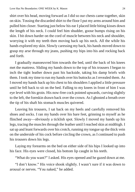shirt over his head, moving forward as I did so our chests came together, skin on skin. Tossing the discarded shirt to the floor I put my arms around him and pulled him closer. Starting just below his ear I placed little biting kisses down the length of his neck. I could feel him shudder, goose bumps rising on his skin. I bit down harder on the cord of muscle between his neck and shoulder, worrying it with my teeth then moving back up his neck. All the while his hands explored my skin. Slowly caressing my back, his hands moved down to grasp my arse through my jeans, pushing my hips into his and rocking back and forth.

I gradually manoeuvred him towards the bed, until the back of his knees met the mattress. Sliding my hands down to the top of his trousers I began to inch the tight leather down past his backside, taking his damp briefs with them. I took my time to run my hands over his buttocks as I revealed them. As I moved my hands back up his chest to his shoulders I applied a little pressure until he fell back to sit on the bed. Falling to my knees in front of him I was eye level with his groin. His now-free cock pointed upwards, curving slightly to the left, the foreskin drawn back over the crown. As I ghosted a breath over the tip of his shaft his stomach muscles quivered.

Leaving his trousers, I sat back on my heels and carefully removed his shoes and socks. I ran my hands over his bare feet, grinning to myself as he flinched away—obviously a ticklish spot. Slowly I moved my hands up his legs, tracing the muscles through the leather until I reached skin at midthigh. I sat up and leant forwards over his crotch, running my tongue up the thick vein on the underside of his cock before circling the crown, as I continued to push his trousers down his legs.

Laying my forearms on the bed on either side of his hips I looked up into his face. His eyes were closed, his bottom lip caught in his teeth.

"What do you want?" I asked. His eyes opened and he gazed down at me.

"I don't know." His voice shook slightly. I wasn't sure if it was down to arousal or nerves. "You naked," he added.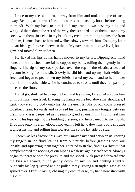I rose to my feet and turned away from him and took a couple of steps away. Bending at the waist I leant forwards to unlace my boots before toeing them off. With my back to him I slid my jeans down past my hips and wriggled them down the rest of the way, then stepped out of them, leaving my socks with them. Just clad in my briefs, my erection straining against the front of them, I turned back to him and walked slowly towards him. Using my knee to part his legs, I moved between them. My navel was at his eye level, but his gaze had moved further down.

He licked his lips as his hands moved to my briefs. Dipping one hand beneath the stretched material he cupped my balls, rolling them gently in his fingers. The tip of my cock peeked over the top of the elastic, a bead of precum leaking from the slit. Slowly he slid his hand up my shaft while his free hand began to peel down my briefs. I used my own hand to help lower them from the other side while he continued to stroke, until they fell past my knees to the floor.

He let go, shuffled back up the bed, and lay down; I crawled up over him until our hips were level. Bracing my hands on the bed above his shoulders, I gently lowered my body onto his. As the erect lengths of our cocks pressed together I leant forwards and captured his lips, pushing my tongue between them; our kisses deepened as I began to grind against him. I could feel him rocking his hips against the building pressure, and he groaned into my mouth. Dropping onto my right elbow I moved my left hand down his body, slipping it under his hip and rolling him towards me so we lay side by side.

There was less friction this way, but I moved my hand between us, coating my fingers in the fluid leaking from our pricks before grasping both our lengths and squeezing them together. I started to stroke, finding a rhythm that complemented the rocking of our hips as we thrust against each other. Slowly I began to increase both the pressure and the speed. Nick pressed forward into the kiss we shared, biting gently down on my lip and panting slightly. Suddenly his leg quivered and he pulled away, giving a strangled gasp as he spilled over. I kept stroking, chasing my own release, my hand now slick with his cum.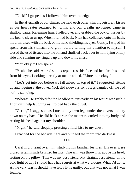"Nick!" I gasped as I followed him over the edge.

In the aftermath of our climax we held each other, sharing leisurely kisses as our heart rates returned to normal and our breaths no longer came in shallow pants. Releasing him, I rolled over and grabbed the box of tissues by the bed to clean us up. When I turned back, Nick had collapsed onto his back, his arm raised with the back of his hand shielding his eyes. Gently, I wiped his spend from his stomach and groin before turning my attention to myself. I tossed the used tissues into the bin and shuffled back over to him, lying on my side and running my fingers up and down his chest.

"You okay?" I whispered.

"Yeah," he said. A tired smile crept across his face and he lifted his hand from his eyes. Looking directly at me he added, "More than okay."

"Let's get into bed before we fall asleep on top of it," I suggested, sitting up and tugging at the duvet. Nick slid sideways so his legs dangled off the bed before standing.

"Whoa!" He grabbed for the headboard, unsteady on his feet. "Head rush!" I couldn't help laughing as I folded back the duvet.

"Get in," I suggested as I tucked my own legs under the covers and lay down on my back. He slid back across the mattress, curled into my body and resting his head against my shoulder.

"Night," he said sleepily, pressing a final kiss to my chest.

I reached for the bedside light and plunged the room into darkness.

\*\*\*\*

Carefully, I leant over him, studying his familiar features. His eyes were closed, a faint smile brushed his lips. One arm was thrown up above his head, resting on the pillow. This was my best friend. My straight best friend. In the cold light of day I should have had regrets at what we'd done. What I'd done. At the very least I should have felt a little guilty; but that was not what I was feeling.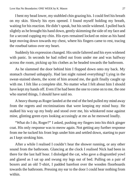I bent my head lower, my stubbled chin grazing his. I could feel his breath on my skin. Slowly his eyes opened. I found myself holding my breath, waiting for his reaction. He didn't speak, but his smile widened. I pulled back slightly as he brought his hand down, gently skimming the side of my face and for a second cupping my chin. His eyes remained locked on mine as his hand kept moving down towards my chest, where his fingers came to rest, tracing the rosebud tattoo over my heart.

Suddenly his expression changed. His smile faltered and his eyes widened with panic. In seconds he had rolled out from under me and was halfway across the room, picking up his clothes as he headed towards the bathroom.

As he slammed the door behind him I flopped down onto my back. My stomach churned unhappily. Had last night ruined everything? Lying in the sweat-stained sheets, the scent of him around me, the guilt finally caught up with me. I felt like a complete shit. No matter what I felt about him I should have kept my hands off. Even if he had been the one to come on to me, the one who started things, I should have said no.

A heavy thump as Roger landed at the end of the bed pulled my mind away from the regrets and recriminations that were keeping my mind busy. He stalked his way up my body and stood over me, his whiskered nose against mine, glinting green eyes looking accusingly at me as he meowed loudly.

"What do I do, Roger?" I asked, pushing my fingers into his thick ginger coat. His only response was to meow again. Not getting any further response from me he tucked his front legs under him and settled down, starting to purr as I kept stroking him.

After a while I realised I couldn't hear the shower running, or any other sound from the bathroom. Glancing at the clock I realised Nick had been in there for the last half hour. I dislodged the cat, who gave a disgruntled yowl and glared as I sat up and swung my legs out of bed. Pulling on a pair of boxers and an old T-shirt, I padded barefoot over the wooden floorboards towards the bathroom. Pressing my ear to the door I could hear nothing from within.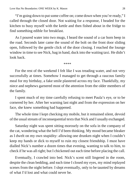"I'm going down to put some coffee on; come down when you're ready," I called through the closed door. Not waiting for a response, I headed for the kitchen to busy myself with the kettle and then fished about in the fridge to find something edible for breakfast.

As I poured water into two mugs, I heard the sound of a car horn beep in the road. Seconds later came the sound of the bolt on the front door sliding open, followed by the gentle click of the door closing. I reached the lounge window in time to see Nick, bag in hand, duck into the waiting taxi. He didn't look back.

\*\*\*\*

For the rest of the weekend I felt like I was treading water, and not very successfully at times. Somehow I managed to get through a raucous family meal for my birthday, a fake smile plastered across my face. Thankfully, my niece and nephews garnered most of the attention from the older members of the family.

I spent much of my time carefully refusing to meet Paula's eye, or to be cornered by her. After her warning last night and from the expression on her face, she knew something had happened.

The whole time I kept checking my mobile, but it remained silent, devoid of the usual stream of inconsequential texts that Nick and I usually exchanged.

Saturday night was spent sitting morosely on the sofa in the company of the cat, wondering what the hell I'd been thinking. My mood became bleaker as I dwelt on my own stupidity: allowing one drunken night when I couldn't keep my hands or dick to myself to ruin my closest friendship. I must have dialled Nick's number a dozen times that evening, wanting to talk to him, to check if he was all right; but I chickened out each time before placing the call.

Eventually, I crawled into bed. Nick's scent still lingered in the room, despite the clean bedding, and each time I closed my eyes, my mind replayed scenes from the night before. I slept eventually, only to be taunted by dreams of what I'd lost and what could never be.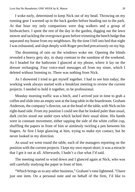I woke early, determined to keep Nick out of my head. Throwing on my running gear I warmed up in the back garden before heading out to the park. At that hour my only companions were dog walkers and a group of birdwatchers. I spent the rest of the day in the garden, digging out the lawn mower and tackling the overgrown grass before trimming the beech hedge that separated my house from my neighbours. By the time I fell into bed that night I was exhausted, and slept deeply with Roger perched precariously on my hip.

The drumming of rain on the windows woke me. Opening the blinds revealed a heavy grey sky, in sharp contrast to the sunshine of the weekend. As I headed for the bathroom I glanced at my phone, where it lay on the dresser recharging. Four voice-mail messages all from my sister, which I deleted without listening to. There was nothing from Nick.

As I showered I tried to get myself together. I had to see him today; the working week always started with a breakfast meeting to review the current projects. I needed to hold it together, to be professional.

Monday morning traffic was a bitch, and I arrived just in time to grab a coffee and slide into an empty seat at the long table in the boardroom. Graham Anderson, the company's director, sat at the head of the table, with Nick on his right-hand side. From my position I could see that he looked paler than usual, dark circles stood out under eyes which lacked their usual shine. His hands were in constant movement, either tapping the side of the white coffee cup, shuffling the papers in front of him or aimlessly twirling a pen between his fingers. At first I kept glancing at him, trying to make eye contact, but he never looked in my direction.

As usual we went round the table, each of the managers reporting on the position with the current projects. I kept my own report short; it was a miracle that I got it out at all. Afterwards, I hadn't a clue what I'd said.

The meeting started to wind down and I glanced again at Nick, who was still carefully studying the paper in front of him.

"Which brings us to any other business," Graham's tone lightened. "I have just one item. On a personal note and on behalf of the firm, I'd like to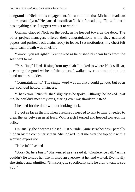congratulate Nick on his engagement. It's about time that Michelle made an honest man of you." He paused to smile at Nick before adding, "Now if no one has anything else, I suggest we get to work."

Graham clapped Nick on the back, as he headed towards the door. The other project managers offered their congratulations while they gathered papers and pushed back chairs ready to leave. I sat motionless, my chest felt tight; each breath was an effort.

"Simon, you all right?" Brent asked as he pushed his chair back from the seat next to me.

"Yes, fine," I lied. Rising from my chair I looked to where Nick still sat, accepting the good wishes of the others. I walked over to him and put one hand on his shoulder.

"Congratulations." The single word was all that I could get out, but even that sounded hollow. Insincere.

"Thank you." Nick flushed slightly as he spoke. Although he looked up at me, he couldn't meet my eyes, staring over my shoulder instead.

I headed for the door without looking back.

I'd got as far as the lift when I realised I needed to talk to him. I needed to clear the air between us at least. With a sigh I turned and headed towards his office.

Unusually, the door was closed. Just outside, Amie sat at her desk, partially hidden by the computer screen. She looked up at me over the top of it with a worried expression.

"Is he in?" I asked

"Sorry Si, he's busy." She winced as she said it. "Conference call." Amie couldn't lie to save her life. I raised an eyebrow at her and waited. Eventually she sighed and admitted, "I'm sorry, he specifically said he didn't want to see you."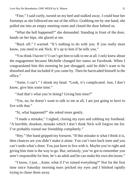"Fine," I said curtly, turned on my heel and stalked away. I could hear her footsteps as she followed me out of the office. Grabbing me by one hand, she pulled me into an empty meeting room and closed the door behind us.

"What the hell happened?" she demanded. Standing in front of the door, hands on her hips, she glared at me.

"Back off," I warned. "It's nothing to do with you. If you really must know, you need to ask Nick. It's up to him if he tells you."

"You think I haven't? I can't get him to talk to me at all. I only knew about the engagement because Michelle changed her status on Facebook. When I congratulated him this morning he just shrugged, said he didn't want to be disturbed and that included if you came by. Then he barricaded himself in the office."

"Amie, I can't." I shook my head. "Look, it's complicated. Just, I don't know, give him some time."

"And that's what you're doing? Giving him time?"

"Yes, no, he doesn't want to talk to me at all, I am just going to have to live with that."

"Si, what happened?" she asked more gently.

"I made a mistake," I sighed, closing my eyes and rubbing my forehead. "A horrible, drunken, mistake which I don't think Nick will forgive me for. I've probably ruined our friendship completely."

"Hey." Her hand gripped my forearm. "If this mistake is what I think it is, then chances are you didn't make it alone. You can't turn back time and you can't undo what's done. You just have to live with it. Maybe you're right and giving him time is the way to go. But, seriously, you've got to remember you aren't responsible for him, he's an adult and he can make his own decisions."

"I know, I just…Amie, what if I've ruined everything?" Not for the first time since Saturday morning tears pricked my eyes and I blinked rapidly trying to chase them away.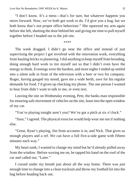"I don't know. It's a mess—that's for sure, but whatever happens you move forward. Now, we've both got work to do. I'd give you a hug, but we both know that's not proper office behaviour." She squeezed my arm again before she left, shutting the door behind her and giving me time to pull myself together before I headed out to the job site.

\*\*\*\*

The week dragged. I didn't go near the office and instead of just supervising the project I got involved with the renovation work, everything from hauling bricks to plastering. I did anything to keep myself from brooding, doing enough hard work to tire myself out so that I didn't even have the energy to think. Evenings were the hardest, and most nights I ended up settled into a silent sulk in front of the television with a beer or two for company. Roger, having gauged my mood, gave me a wide berth, save for his regular demands for food. I'd given up checking my phone. The one person I wanted to hear from didn't want to talk to me, or even text.

Leaving the site on Wednesday evening, Pete, the banks man responsible for ensuring safe movement of vehicles on the site, leant into the open window of my car.

"You're playing tonight aren't you? We've got a pitch at six o'clock."

"Sure," I agreed. The physical exercise would help wear me out if nothing else.

"Great, Ryan's playing, Jim from accounts is in, and Nick. That gives us enough players and a ref. We can have a full five-a-side game with fifteen minutes each way."

My heart sunk; I wanted to change my mind but he'd already pulled away from the window. Before waving me on, he tapped his hand on the roof of the car and called out, "Later."

I cursed under my breath just about all the way home. There was just enough time to change into a clean tracksuit and throw my football kit into the bag before heading back out.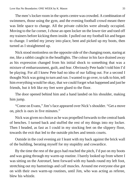The men's locker room in the sports centre was crowded. A combination of swimmers, those using the gym, and the evening football crowd meant there was little space to change. All the private cubicles were already occupied. Moving to the far corner, I chose an open locker on the lower tier and toed off my trainers before kicking them inside. I pulled out my football kit and began to change. I settled my jersey into place, bent and picked up my boots, then turned as I straightened up.

Nick stood motionless on the opposite side of the changing room, staring at me, like a rabbit caught in the headlights. The colour in his face drained away as his expression changed from his initial shock to something that was a mixture of embarrassment, guilt, and fear. Obviously Pete hadn't told him I'd be playing. For all I knew Pete had no idea of our falling out. For a second I thought Nick was going to turn and run. I wanted to go over, to talk to him, tell him everything would be okay, that we could forget what happened and just be friends, but it felt like my feet were glued to the floor.

The door opened behind him and a hand landed on his shoulder, making him jump.

"Come on Evans," Jim's face appeared over Nick's shoulder. "Get a move on, pitch is ours in five minutes."

Nick was given no choice as he was propelled forwards to the central bank of benches. I turned back and stuffed the rest of my things into my locker. Then I headed, as fast as I could in my stocking feet on the slippery floor, towards the exit that led to the outside pitches and tennis courts.

Outside in the cool evening air I leant with my back against the brick wall of the building, berating myself for my stupidity and cowardice.

By the time the rest of the guys had reached the pitch, I'd put on my boots and was going through my warm-up routine. I barely looked up from where I was sitting on the Astroturf, bent forward with my hands round my left foot, stretching out my hamstrings and calf muscles. Around me everyone else got on with their own warm-up routines, until Jim, who was acting as referee, blew his whistle.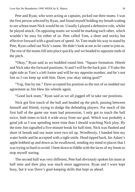Pete and Ryan, who were acting as captains, picked out their teams. I was the first person selected by Ryan, and found myself holding my breath waiting to see whose team Nick would be on. Usually I played a defensive role, whilst he played attack. On opposing teams we would be marking each other, which wouldn't be easy for either of us. Pete called Tom, a short and stocky but effective forward with a good turn of speed. As Tom made his way to stand by Pete, Ryan called out Nick's name. He didn't look at me as he came to join us. The rest of the teams fell into place quickly and we headed to opposite ends of the pitch.

"Okay," Ryan said as we huddled round him. "Square formation. Hitesh and Nick take the forward positions; Si and I will be the back pair. I'll take the right side as Tom's a left footer and will be my opposite number, and he's not fast so I can keep up with him. Dave, you okay taking goal?"

"Yep, fine by me." Dave accepted his position as the rest of us nodded our agreement as Jim blew his whistle again.

"Good luck team," Ryan said as we all jogged off to take our positions.

Nick got first touch of the ball and headed up the pitch, passing between himself and Hitesh, trying to dodge the defending players. For much of the first half of the game our team had possession, I only got to touch the ball twice, both times to kick it wide away from our goal. Which was probably a good job as I was spending more time than I should watching Nick play. By the time Jim signalled a five-minute break for half time, Nick was flushed and short of breath and our team were two nil up. Wordlessly, I handed him my water bottle and he accepted with a tight smile. Head tipped back, his Adam's apple bobbed up and down as he swallowed, sending my mind to places that I was trying so hard to avoid. I bent down to fiddle with the laces of my boots to stop myself staring.

The second half was very different, Pete had obviously spoken his team at half time and their play was much more aggressive. Ryan and I were kept busy, but it was Dave's goal-keeping skills that kept us ahead.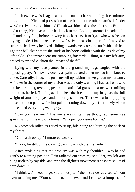Jim blew the whistle again and called out that he was adding three minutes of extra time. Nick had possession of the ball, but the other team's defender was directly in front of him and Hitesh was blocked on the other side. Feinting and turning, Nick passed the ball back to me. Looking around I steadied the ball under my foot, before drawing it back to pass it to Ryan who was free on my right side. I hadn't realised how fast Pete was closing in. As I moved to strike the ball away he dived, sliding towards me across the turf with both feet. I got the ball clear before the studs of his boots collided with the inside of my left ankle. The impact sent me tumbling forwards. I flung out my left arm, braced to try and cushion the impact of the fall.

Lying with my face planted in the ground, my legs tangled with the opposing player's, I swore deeply as pain radiated down my leg from knee to ankle. Carefully, I began to push myself up, taking my weight on my left arm. A flicker in the corner of my vision was the only warning I had as Tom, who had been running over, slipped on the artificial grass, his arms wind milling around as he fell. The impact knocked the breath out my lungs as the full weight of another player landed on my shoulder. There was a loud popping noise and then pain, white-hot pain, shooting down my left arm. My vision blurred and everything went grey.

"Can you hear me?" The voice was distant, as though someone was speaking from the end of a tunnel. "Si, open your eyes for me."

My stomach rolled as I tried to sit up, bile rising and burning the back of my throat.

"Gonna throw up," I muttered weakly.

"Okay, lie still. Jim's coming back now with the first aider."

After explaining that the problem was with my shoulder, I was helped gently to a sitting position. Pain radiated out from my shoulder, my left arm hung useless by my side, and even the slightest movement sent sharp spikes of pain down it.

"I think we'll need to get you to hospital," the first aider advised without even touching me. "Your shoulders are uneven and I can see a lump there."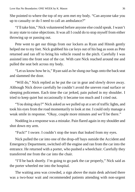She pointed to where the top of my arm met my body. "Can anyone take you up to casualty or do I need to call an ambulance?"

"I'll take him," Nick volunteered before anyone else could speak. I wasn't in any state to raise objections. It was all I could do to stop myself from either throwing up or passing out.

Pete went to get our things from our lockers as Ryan and Hitesh gently helped me to my feet. Nick grabbed his car keys out of his bag as soon as Pete returned and ran off to bring his vehicle round to the pitch. Carefully I was assisted into the front seat of the car. With care Nick reached around me and pulled the seat belt across my body.

"Let us know how he is," Ryan said as he slung our bags onto the back seat and slammed the door.

"Will do," Nick replied as he put the car in gear and slowly drove away. Although Nick drove carefully he couldn't avoid the uneven road surface or sleeping policemen. Each time the car jerked, pain pulsed in my shoulder. I tried to keep quiet but occasionally it became too much and I cried out.

"You doing okay?" Nick asked as we pulled up at a set of traffic lights, and took his eyes from the road momentarily to look at me. I could only manage a weak smile in response. "Okay, couple more minutes and we'll be there."

Nodding in a response was a mistake. Pain flared again in my shoulder and shot down my arm.

"Fuck!" I swore. I couldn't stop the tears that leaked from my eyes.

Nick pulled the car into one of the drop-off bays outside the Accident and Emergency Department, switched off the engine and ran from the car into the entrance. He returned with a porter, who pushed a wheelchair. Carefully they transferred me from the car into the chair.

"I'll be back shortly. I'm going to go park the car properly," Nick said as the porter wheeled me into the hospital.

The waiting area was crowded, a sign above the main desk advised there was a two-hour wait and recommended patients attending with non-urgent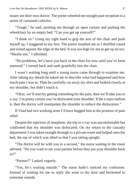issues see their own doctor. The porter wheeled me straight past reception to a series of curtained cubicles.

"Triage," he said, pushing me through an open curtain and parking the wheelchair by an empty bed. "Can you get up yourself?"

"I think so." Using my right hand to grip the arm of the chair and push myself up, I staggered to my feet. The porter steadied me as I shuffled round and rested against the edge of the bed. It was too high for me to get up on too. "Maybe not," I admitted.

"No problems, let's have you back in the chair for now until you've been assessed." I turned back and sank gratefully into the chair.

I wasn't waiting long until a young nurse came through to examine me. After taking my details he asked me to describe what had happened and how much pain I was in. Then he carefully cut away my shirt and looked closely at my shoulder, but didn't touch it.

"Okay, we'll start by getting something for the pain, then we'll take you to x-ray. I'm pretty certain you've dislocated your shoulder. If the x-rays confirm it, then the doctor will manipulate the shoulder to reduce the dislocation."

If I had had two working arms I'd have hugged him at the promise of pain relief.

Despite the injection of morphine, the trip to x-ray was uncomfortable but confirmed that my shoulder was dislocated. On my return to the casualty department I was taken straight through to a private room and helped onto the bed, the top of which was tilted so that I was sitting upright.

"The doctor will be with you in a second," the nurse waiting in the room advised. "Do you want to see your partner before they put your shoulder back in?"

"Partner?" I asked vaguely.

"Yes, he's waiting outside." The nurse hadn't noticed my confusion. Instead of waiting for me to reply she went to the door and beckoned to someone outside.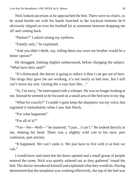Nick looked uncertain as he approached the bed. There were no chairs, so he stood beside me with his hands bunched in the tracksuit bottoms he'd obviously slipped on over his football kit at sometime between dropping me off and coming back.

"Partner?" I asked raising my eyebrow.

"Family only," he explained.

"And you didn't think, say, telling them you were my brother would be a better option?"

He shrugged, looking slightly embarrassed, before changing the subject. "What have they said?"

"It's dislocated, the doctor is going to reduce it then I can get out of here. The drugs they gave me are working, it's not nearly as bad now, but I still can't move my arm. Getting the x-rays hurt like…"

"Si, I'm sorry," he interrupted with a whisper. He was no longer looking at me. Instead he seemed to be focused on a small area of the bed next to my leg.

"What for exactly?" I couldn't quite keep the sharpness out my voice, but regretted it immediately when I saw him flinch.

"For what happened."

"For all of it?"

"Yes—No—Well—" he stuttered. "I just…I can't." He looked directly at me, shaking his head. There was a slightly wild cast to his eyes: part confusion, part anxiety.

"It happened. We can't undo it. We just have to live with it as best we can."

I would have said more but the doors opened and a small group of people entered the room. Nick was quietly ushered out as they gathered 'round the bed. The doctor introduced himself and explained what they would do. Having determined that the morphine was working effectively, the top of the bed was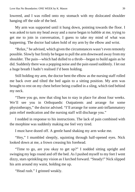lowered, and I was rolled onto my stomach with my dislocated shoulder hanging off the side of the bed.

My arm was supported until it hung down, pointing towards the floor. I was asked to turn my head away and a nurse began to babble at me, trying to get me to join in conversation, I guess to take my mind of what was happening. The doctor had taken hold of my arm by the elbow and wrist.

"Relax," he advised, which given the circumstances wasn't even remotely possible. Slowly but firmly he began to pull the arm downward away from my shoulder. The pain—which had dulled to a throb—began to build again as he did. Suddenly there was a popping noise and the pain eased suddenly. I let out a huge breath I hadn't realised I'd been holding.

Still holding my arm, the doctor bent the elbow as the nursing staff rolled me back over and tilted the bed again to a sitting position. My arm was brought to rest on my chest before being cradled in a sling, which tied behind my neck.

"There you go, now that sling has to stay in place for about four weeks. We'll see you in Orthopaedic Outpatients and arrange for some physiotherapy," the doctor advised. "I'll arrange for some anti-inflammatory pain relief medication and the nursing staff will discharge you."

I nodded in response to his instructions. The lack of pain combined with the morphine was suddenly making me feel very tired.

I must have dozed off. A gentle hand shaking my arm woke me.

"Hey," I mumbled sleepily, squinting through half-opened eyes. Nick looked down at me, a frown creasing his forehead.

"Time to go, are you okay to get up?" I nodded sitting upright and swinging my legs round and off the bed. As I pushed myself to my feet I went dizzy, stars sprinkling my vision as I lurched forward. "Steady!" Nick slipped his arm around my waist, holding me up.

"Head rush." I grinned weakly.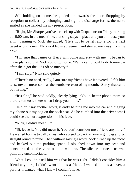Still holding on to me, he guided me towards the door. Stopping by reception to collect my belongings and sign the discharge forms, the nurse smiled as she handed me my prescription.

"Right, Mr. Sharpe, you've a check-up with Outpatients on Friday morning at 10:00 a.m. In the meantime, that sling stays in place and you don't use your arm." Turning to Nick she added, "He's not to be left alone for the next twenty-four hours." Nick nodded in agreement and steered me away from the desk.

"I'm sure that James or Harry will come and stay with me," I began to make plans so that Nick could go home. "Paula can probably do tomorrow after she's got the kids off to nursery."

"I can stay," Nick said quietly.

"There's no need, really, I am sure my friends have it covered." I felt him tense next to me as soon as the words were out of my mouth. "Sorry, that came out wrong."

"It's fine," he said coldly, clearly lying. "You'd better phone them so there's someone there when I drop you home."

He didn't say another word, silently helping me into the car and digging my phone out my bag on the back seat. As he climbed into the driver seat I could see the hurt expression on his face.

"Nick, I didn't mean…"

"Si, leave it. You did mean it. You don't consider me a friend anymore." He waited for me to call James, who agreed to pack an overnight bag and go straight round to mine. Then without saying a word, Nick turned up the radio and backed out the parking space. I slouched down into my seat and concentrated on the view out the window. The silence between us was painfully uncomfortable.

What I couldn't tell him was that he was right. I didn't consider him a friend anymore; I didn't want him as a friend. I wanted him as a lover, a partner. I wanted what I knew I couldn't have.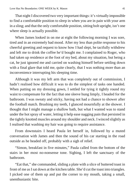That night I discovered two very important things: it's virtually impossible to find a comfortable position to sleep in when you are in pain with your arm in a sling; and that the only comfortable position, sitting bolt upright, isn't one where sleep is actually possible.

When James looked in on me at eight the following morning I was sore, tired and in an extremely bad mood. After my less than polite response to his cheerful greeting and request to know how I had slept, he tactfully withdrew and left me to drink the coffee he'd bought me. I complained to Roger, who had taken up residence at the foot of my bed, about my situation, but being a cat, he just ignored me and carried on washing himself before settling down with a final glare that told me, quite clearly, that I was nothing more than an inconvenience interrupting his sleeping time.

Although it was my left arm that was completely out of commission, I hadn't realised how difficult it was to do the simplest of tasks one handed. When putting on my dressing gown, I settled for tying it tightly round my waist to compensate for the fact that one sleeve hung limply, I headed for the bathroom. I was sweaty and sticky, having not had a chance to shower after the football match. Brushing my teeth, I glanced mournfully at the shower. I thought that I might manage a shallow bath, but what I wanted was to stand under the hot spray of water, letting it help ease nagging pain that persisted in the tightly knotted muscles around my shoulder and neck. I winced slightly as I realised that washing my hair was going to require assistance.

From downstairs I heard Paula let herself in, followed by a muted conversation with James and then the sound of his car starting in the road outside as he headed off, probably with a sigh of relief.

"Simon, breakfast in five minutes," Paula called from the bottom of the stairs in her most no-nonsense tone. Sighing, I left the sanctuary of the bathroom.

"Eat that," she commanded, sliding a plate with a slice of buttered toast in front of me as I sat down at the kitchen table. She'd cut the toast into triangles. I picked one of them up and put the corner to my mouth, taking a small, unenthusiastic bite.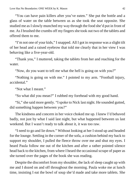"You can have pain killers after you've eaten." She put the bottle and a glass of water on the table between us as she took the seat opposite. She studied me as I slowly munched my way through the food she'd put in front of me. As I brushed the crumbs off my fingers she took out two of the tablets and offered them to me.

"I'm not one of your kids," I snapped. All I got in response was a slight tilt of her head and a raised eyebrow that told me clearly that in her view I was behaving like a five-year-old.

"Thank you," I muttered, taking the tablets from her and reaching for the water.

"Now, do you want to tell me what the hell is going on with you?"

"Nothing is going on with me." I pointed to my arm. "Football injury, accidental."

"Not what I meant."

"So what did you mean?" I rubbed my forehead with my good hand.

"Si," she said more gently. "I spoke to Nick last night. He sounded gutted, did something happen between you?"

The kindness and concern in her voice choked me up. I knew I'd behaved badly, not just by what I said last night, but what happened between us last weekend. But I wasn't ready to talk about it, it was too raw.

"I need to go and lie down." Without looking at her I stood up and headed for the lounge. Settling in the corner of the sofa, a cushion behind my back to support my shoulder, I pulled the fleece throw over me and shut my eyes. I heard Paula follow me out of the kitchen and after a rather pointed silence head back to the kitchen, from where I heard the occasional scrape of paper as she turned over the pages of the book she was reading.

Despite the discomfort from my shoulder, the lack of sleep caught up with me and I dozed on and off throughout the morning. Paula woke me at lunch time, insisting I eat the bowl of soup she'd made and take more tablets. She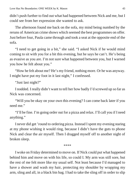didn't push further to find out what had happened between Nick and me, but I could see from her expression she wanted to ask.

The afternoon found me back on the sofa, my mind being numbed by the reruns of American crime shows which seemed the best programmes on offer. Just before four, Paula came through and took a seat at the opposite end of the sofa.

"I need to get going in a bit," she said. "I asked Nick if he would mind coming to sit with you for a bit this evening, but he says he can't. He's being as evasive as you are. I'm not sure what happened between you, but I warned you how he felt about you."

"How he felt about me? He's my friend, nothing more. Or he was anyway. I might have put my foot in it last night," I confessed.

"Just last night?"

I nodded. I really didn't want to tell her how badly I'd screwed up so far as Nick was concerned.

"Will you be okay on your own this evening? I can come back later if you need me."

"I'll be fine. I'm going order out for a pizza and relax. I'll call you if I need anything."

I never did get 'round to ordering pizza. Instead I spent my evening staring at my phone wishing it would ring, because I didn't have the guts to phone Nick and clear the air myself. Then I dragged myself off to another night of broken sleep.

\*\*\*\*

I woke on Friday determined to move on. If Nick could put what happened behind him and move on with his life, so could I. My arm was still sore, but the rest of me felt more like my usual self. Not least because I'd managed to have a shower and wash my hair, protecting my shoulder by wrapping my arm, sling and all, in a black bin bag. I had to take the sling off in order to slip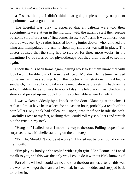on a T-shirt, though. I didn't think that going topless to my outpatient appointment was a good idea.

The hospital was busy. It appeared that all patients were told their appointments were at ten in the morning, with the nursing staff then sorting out some sort of order on a "first come, first served" basis. It was almost noon before I was seen by a rather frazzled looking junior doctor, who removed the sling and manipulated my arm to check my shoulder was still in place. The doctor advised that the sling had to stay on for three more weeks, in the meantime I'd be referred for physiotherapy but they didn't need to see me again.

I took the bus back home again, calling work to let them know that with luck I would be able to work from the office on Monday. By the time I arrived home my arm was aching from the doctor's ministrations. I grabbed a sandwich, mainly so I could take some medication before settling back on the sofa. Unable to face another afternoon of daytime television, I switched on the stereo and picked up my book from the coffee table where I'd left it.

I was woken suddenly by a knock on the door. Glancing at the clock I realised I must have been asleep for at least an hour, probably a result of the pain killers. My book had fallen, still open, onto the floor beside the sofa. Carefully I rose to my feet, wishing that I could roll my shoulders and stretch out the crick in my neck.

"Hang on," I called out as I made my way to the door. Pulling it open I was surprised to see Michelle standing on the doorstep.

"Erm, hi. Shouldn't you be at work?" I blurted out before I could censor my mouth.

"I'm playing hooky," she replied with a tight grin. "Can I come in? I need to talk to you, and this was the only way I could do it without Nick knowing."

Part of me wished I could say no and shut the door on her, after all this was the woman who got the man that I wanted. Instead I nodded and stepped back to let her in.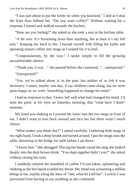"I was just about to put the kettle on when you knocked," I lied as I shut the front door behind her. "Do you want coffee?" Without waiting for a response I turned and walked towards the kitchen.

"How are you feeling?" she asked as she took a seat at the kitchen table.

"A bit sore. It's frustrating more than anything, but at least it's my left arm." Keeping my back to her, I busied myself with filling the kettle and spooning instant coffee into mugs as I waited for it to boil.

"Congratulations, by the way." I spoke simply to fill the growing uncomfortable silence.

"Thank you, it was…" she paused before she continued, "…unexpected."

"Unexpected?"

"Yes, we've talked about it, in the past, but neither of us felt it was necessary. I mean, maybe, one day, if say children came along, but we were quite happy as we were. Something happened to change his mind."

I had no response to that. I knew full well what had changed his mind. I'd seen the panic in his eyes on Saturday morning, that "what have I done" moment.

My hand was shaking as I poured the water into the two mugs in front of me. I didn't want to turn back around and face her but there wasn't much choice.

"What makes you think that?" I asked carefully. Gathering both mugs in my right hand, I took a deep breath and turned around. I put the mugs onto the table, detouring to the fridge for milk before I sat down.

"I know him." She shrugged. Placing her hands round the mug she looked deeply into the dark brown drink. "You slept together didn't you?" she asked without raising her eyes.

I suddenly inhaled the mouthful of coffee I'd just taken, spluttering and choking as the hot liquid scalded my throat. My mind was screaming a million things at me, mainly along the lines of "shit, what do I tell her". Luckily I was prevented from having to say anything as she continued.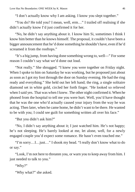"I don't actually know why I am asking. I know you slept together."

"You do? He told you? I mean, well, erm…" I trailed off realising if she didn't actually know I'd just confirmed it for her.

"No, he didn't say anything about it. I know him Si, sometimes I think I know him better than he knows himself. The proposal, it couldn't have been a bigger announcement that he'd done something he shouldn't have, even if he'd screamed it from the rooftops."

"It's a big jump, from having done something wrong to, well—" For some reason I couldn't say what we'd done out loud.

"Not really." She shrugged. "I knew you were together on Friday night. When I spoke to him on Saturday he was working, but he proposed just about as soon as I got my foot through the door on Sunday evening. He had the ring ready and everything." She held out her left hand; the ring, a single solitaire diamond set in white gold, circled her forth finger. "He looked so relieved when I said yes. That was when I knew. The other night confirmed it. When he phoned from the hospital to tell me you were hurt. Well, you'd have thought that he was the one who'd actually caused your injury from the way he was acting. Then later, when he came home, he didn't want to be there. He wanted to be with you; I could see guilt for something written all over his face."

"But you didn't ask him?"

"No, I didn't say anything about it; I just watched him. He's not happy; he's not sleeping. He's barely looked at me, let alone, well, for a newly engaged couple you'd expect some romance. He hasn't even touched me."

"I'm sorry…I…just…" I shook my head. "I really don't know what to do or say."

"Look, I'm not here to threaten you, or warn you to keep away from him. I just needed to talk to you."

"Why?"

"Why what?" she asked.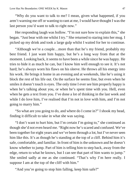"Why do you want to talk to me? I mean, given what happened, if you aren't warning me off or wanting to rant at me, I would have thought I was the last person you'd want to talk to right now."

Her responding laugh was hollow. "I'm not sure how to explain this," she began. "Just bear with me whilst I try." She returned to staring into her mug. I picked up my drink and took a large gulp whilst I waited for her to continue.

"Although we're a couple…more than that he's my friend, probably my best friend. I just want him happy, but he's a long way from that at the moment. Looking back, it seems to have been a while since he was happy. He tries to hide it as much he can, but I know him well enough to see it. It's not hard; he's always worn his flaws on his sleeve. He throws all his energy into his work. He brings it home in an evening and at weekends, like he's using it block the rest of his life out. On the surface he seems fine, but even when he smiles it doesn't touch is eyes. The only time I ever see him properly happy is when he's talking about you, or when he's spent time with you. Hell, even when he gets a text from you. I've done a lot of thinking in the last week and while I do love him, I've realised that I'm not in love with him, and I'm not going to marry him."

"So what are you going to do, and where do I come in?" I shook my head, finding it difficult to take in what she was saying.

"I don't want to hurt him, but I'm certain I'm going to," she continued as though she'd not even heard me. "Right now he's scared and confused. We've been together for eight years and we've been through a lot, but I've never seen him like this. It's as though he's standing at the top of a cliff. Behind him it's safe, comfortable, and familiar. In front of him is the unknown and he doesn't know whether to jump. Part of him is telling him to step back, away from the edge, return to what he knows, but I can see that part of him wants to jump." She smiled sadly at me as she continued. "That's why I'm here really. I suppose I am at the top of the cliff with him."

"And you're going to stop him falling, keep him safe?"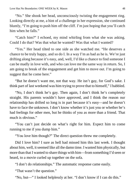"No." She shook her head, unconsciously twisting the engagement ring. Looking directly at me, a hint of a challenge in her expression, she continued bluntly, "I'm going to push him off the cliff. I'm just hoping that you'll catch him when he falls."

"Catch him?" I echoed, my mind whirling from what she was asking. Could I do that? Was that what he wanted? Was that what I wanted?

"Yes." Her head tilted to one side as she watched me. "He deserves a chance to be truly happy, and so do I. In a way I'm as bad as he is. We're just drifting along because it's easy, and, well, I'd like a chance to find someone I can be madly in love with, and who can love me the same way in return. So, I am going to break of the engagement and get him to move out. I'm going to suggest that he come here."

"But he doesn't want me, not that way. He isn't gay, for God's sake. I think part of last weekend was him trying to prove that to himself," I babbled.

"No, I don't think he's gay. Then again, I don't think he's completely straight. His parents wouldn't have approved, and I think the reason our relationship has drifted so long is in part because it's easy—and he doesn't have to face the unknown. I don't know whether it's just you or whether he's had feelings for other men, but he thinks of you as more than a friend. That much is obvious."

"You can't just decide on what's right for him. Expect him to come running to me if you dump him."

"You love him though?" The direct question threw me completely.

Did I love him? I sure as hell had missed him this last week. I thought about him, well, it seemed like all the damn time. I wanted him physically, but more than that I wanted to share things with him—from something I'd seen or heard, to a movie curled up together on the sofa.

"I don't do relationships." The automatic response came easily.

"That wasn't the question."

"No, but—" I looked helplessly at her. "I don't know if I can do this."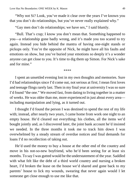"Why not Si? Look, you've made it clear over the years I've known you that you don't do relationships, but you've never really explained why."

"Gay men don't do relationships; we have sex," I said bluntly.

"Bull. That's crap; I know you don't mean that. Something happened to you—a relationship gone badly wrong, and it's made you too scared to try again. Instead you hide behind the mantra of having one-night stands or pickups only. You're the opposite of Nick, he might have all his faults and emotions on show, but you've buried your emotions so deeply it's a wonder anyone can get close to you. It's time to dig them up Simon. For Nick's sake and for mine."

\*\*\*\*

I spent an unsettled evening lost in my own thoughts and memories. Sure I'd had relationships since I'd come out, not serious at first; I mean first loves and teenage flings rarely last. Then in my final year at university I was so sure I'd found "the one." We moved fast, from dating to living together in a matter of weeks. He was older than me, more experienced in just about every area including manipulation and lying, as it turned out.

I thought I'd found the person I was destined to spend the rest of my life with; instead, after nearly two years, I came home from work one night to an empty house. He'd cleared out everything: his clothes, all the items we'd bought jointly and, as I discovered later, the joint bank account he'd insisted we needed. In the three months it took me to track him down I was overwhelmed by a steady stream of overdue notices and final demands for loans I'd no recollection of taking out.

He'd used the money to buy a house at the other end of the country and move in his not-so-new boyfriend, who he'd been seeing for at least six months. To say I was gutted would be the understatement of the year. Saddled with what felt like the debt of a third world country and nursing a broken heart, I'd broken the lease on the house we'd shared and gone back to my parents' house to lick my wounds, swearing that never again would I let someone get close enough to use me like that.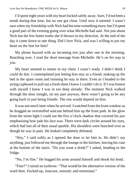I'd spent eight years with my heart locked safely away. Sure, I'd not been a monk during that time, but no one got close. Until now it seemed. I wasn't sure when my friendship with Nick had become something more, but I'd spent a good part of the evening going over what Michelle had said. Not just about Nick but the few home truths she'd thrown in my direction. At the end of the day it came down to one thing. Did I love Nick, and was I willing to put my heart on the line for him?

My phone buzzed with an incoming text just after one in the morning. Reaching over, I read the short message from Michelle: *He's on his way to you.*

My heart seemed to stutter in my chest. I wasn't ready. I didn't think I could do this. I contemplated just letting him stay as a friend, making up the bed in the spare room and insisting he stay in there. Even as I headed to the airing cupboard to pull out a fresh sheet I knew I couldn't do it. If I was honest with myself I knew I was in too deep already. The moment Nick walked through the door tonight, on my part anyway, there wasn't going to be any going back to just being friends. The rest would depend on him.

It was not much later when he arrived. I watched from the front window as he dragged an overstuffed suitcase behind him up the front path. In the glow from the street light I could see the five o'clock shadow that covered his jaw emphasising how pale his face was. There were dark circles around his eyes, which had lost all of their usual sparkle. His shoulders were hunched over as though he was in pain. He looked completely defeated.

"Hey," I said softly as I opened the door to let him in. He didn't say anything, just followed me through the lounge to the kitchen, leaving his case at the bottom of the stairs. "Do you want a drink?" I asked, heading to the fridge.

"No, I'm fine." He hugged his arms around himself and shook his head.

"Fine?" I raised an eyebrow. "That would be the alternative version of the word then. Fucked-up, insecure, neurotic and emotional."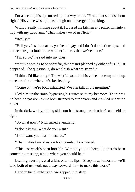For a second, his lips turned up in a wry smile. "Yeah, that sounds about right." His voice was tight, as though on the verge of breaking.

Without really thinking about it, I crossed the kitchen and pulled him into a hug with my good arm. "That makes two of us Nick."

"Really?"

"Hell yes. Just look at us, you're not gay and I don't do relationships, and between us just look at the wonderful mess that we've made."

"I'm sorry," he said into my chest.

"You've nothing to be sorry for, this wasn't planned by either of us. It just happened. The question is, do we finish what we started?"

"I think I'd like to try." The wistful sound in his voice made my mind up once and for all where he'd be sleeping.

"Come on, we're both exhausted. We can talk in the morning."

I led him up the stairs, bypassing his suitcase, to my bedroom. There was no heat, no passion, as we both stripped to our boxers and crawled under the duvet.

In the dark, we lay, side by side; our hands sought each other's and held on tight.

"So what now?" Nick asked eventually.

"I don't know. What do you want?"

"I still want you, but I'm scared."

"That makes two of us, on both counts," I confessed.

"This last week's been horrible. Without you it's been like there's been something missing, a hole where you should be."

Leaning over I pressed a kiss onto his lips. "Sleep now, tomorrow we'll talk, both of us, work out a way forward, how to make this work."

Hand in hand, exhausted, we slipped into sleep.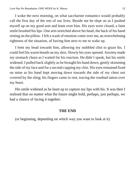I woke the next morning, on what saccharine romantics would probably call the first day of the rest of our lives. Beside me he slept on as I pushed myself up on my good arm and leant over him. His eyes were closed, a faint smile brushed his lips. One arm stretched above his head, the back of his hand resting on the pillow. I felt a wash of emotion come over me, an overwhelming rightness of the situation, of having him next to me to wake up.

I bent my head towards him, allowing my stubbled chin to graze his. I could feel his warm breath on my skin. Slowly his eyes opened. Anxiety made my stomach churn as I waited for his reaction. He didn't speak, but his smile widened. I pulled back slightly as he brought his hand down, gently skimming the side of my face and for a second cupping my chin. His eyes remained fixed on mine as his hand kept moving down towards the side of my chest not covered by the sling; his fingers came to rest, tracing the rosebud tattoo over my heart.

His smile widened as he leant up to capture my lips with his. It was then I realised that no matter what the future might hold, perhaps, just perhaps, we had a chance of facing it together.

#### **THE END**

(or beginning, depending on which way you want to look at it)